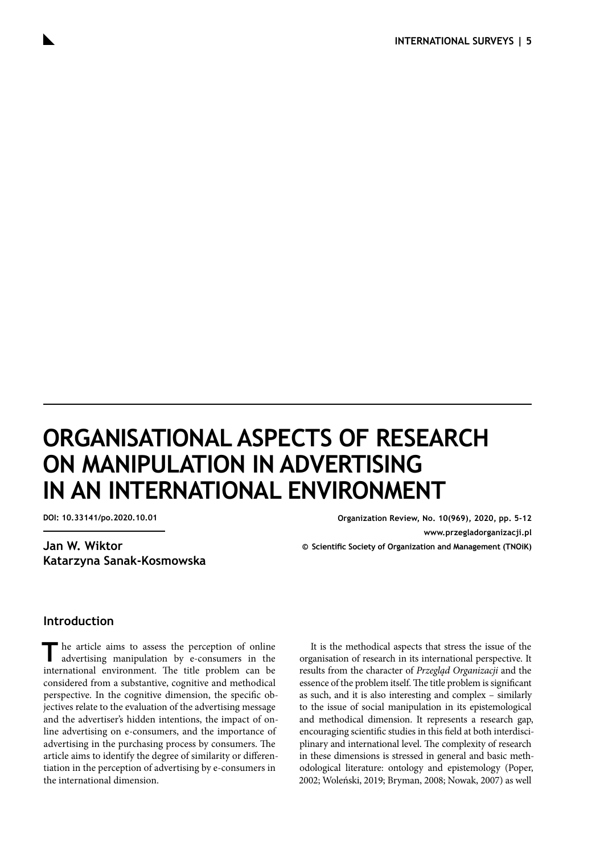# **ORGANISATIONAL ASPECTS OF RESEARCH ON MANIPULATION IN ADVERTISING IN AN INTERNATIONAL ENVIRONMENT**

**Jan W. Wiktor Katarzyna Sanak-Kosmowska**

**DOI: 10.33141/po.2020.10.01 Organization Review, No. 10(969), 2020, pp. 5-12 [www.przegladorganizacji.pl](http://www.przegladorganizacji.pl) © Scientific Society of Organization and Management (TNOiK)**

#### **Introduction**

The article aims to assess the perception of online advertising manipulation by e-consumers in the international environment. The title problem can be considered from a substantive, cognitive and methodical perspective. In the cognitive dimension, the specific objectives relate to the evaluation of the advertising message and the advertiser's hidden intentions, the impact of online advertising on e-consumers, and the importance of advertising in the purchasing process by consumers. The article aims to identify the degree of similarity or differentiation in the perception of advertising by e-consumers in the international dimension.

It is the methodical aspects that stress the issue of the organisation of research in its international perspective. It results from the character of *Przegląd Organizacji* and the essence of the problem itself. The title problem is significant as such, and it is also interesting and complex – similarly to the issue of social manipulation in its epistemological and methodical dimension. It represents a research gap, encouraging scientific studies in this field at both interdisciplinary and international level. The complexity of research in these dimensions is stressed in general and basic methodological literature: ontology and epistemology [\(Poper,](#page-6-0)  [2002; Woleński, 2019; Bryman, 2008; Nowak, 2007\)](#page-6-0) as well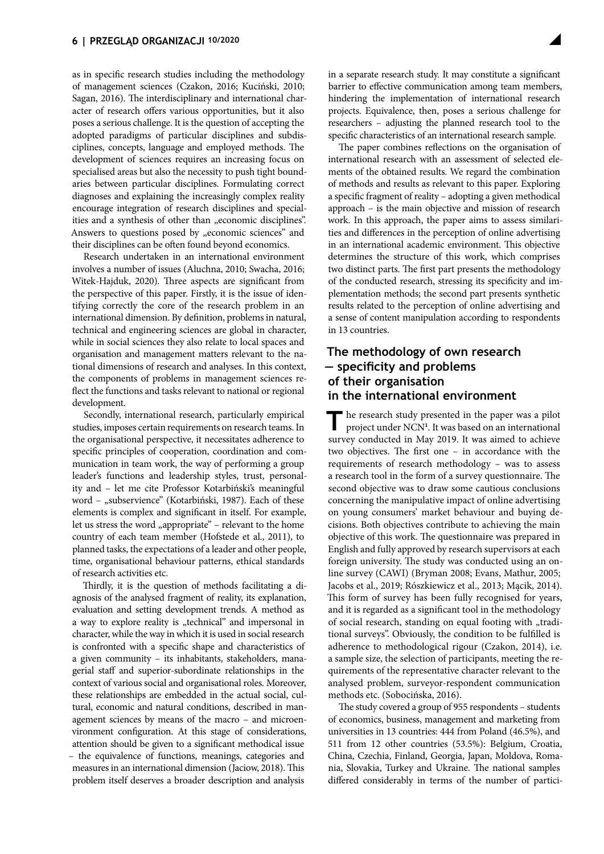as in specific research studies including the methodology of management sciences [\(Czakon, 2016; Kuciński, 2010;](#page-6-0) [Sagan, 2016\).](#page-6-0) The interdisciplinary and international character of research offers various opportunities, but it also poses a serious challenge. It is the question of accepting the adopted paradigms of particular disciplines and subdisciplines, concepts, language and employed methods. The development of sciences requires an increasing focus on specialised areas but also the necessity to push tight boundaries between particular disciplines. Formulating correct diagnoses and explaining the increasingly complex reality encourage integration of research disciplines and specialities and a synthesis of other than "economic disciplines". Answers to questions posed by "economic sciences" and their disciplines can be often found beyond economics.

Research undertaken in an international environment involves a number of issues [\(Aluchna, 2010; Swacha, 2016;](#page-6-0) [Witek-Hajduk, 2020\)](#page-6-0). Three aspects are significant from the perspective of this paper. Firstly, it is the issue of identifying correctly the core of the research problem in an international dimension. By definition, problems in natural, technical and engineering sciences are global in character, while in social sciences they also relate to local spaces and organisation and management matters relevant to the national dimensions of research and analyses. In this context, the components of problems in management sciences reflect the functions and tasks relevant to national or regional development.

Secondly, international research, particularly empirical studies, imposes certain requirements on research teams. In the organisational perspective, it necessitates adherence to specific principles of cooperation, coordination and communication in team work, the way of performing a group leader's functions and leadership styles, trust, personality and – let me cite Professor Kotarbiński's meaningful word – "subservience" [\(Kotarbiński, 1987\).](#page-6-0) Each of these elements is complex and significant in itself. For example, let us stress the word "appropriate" – relevant to the home country of each team member [\(Hofstede et al., 2011\)](#page-6-0), to planned tasks, the expectations of a leader and other people, time, organisational behaviour patterns, ethical standards of research activities etc.

Thirdly, it is the question of methods facilitating a diagnosis of the analysed fragment of reality, its explanation, evaluation and setting development trends. A method as a way to explore reality is "technical" and impersonal in character, while the way in which it is used in social research is confronted with a specific shape and characteristics of a given community – its inhabitants, stakeholders, managerial staff and superior-subordinate relationships in the context of various social and organisational roles. Moreover, these relationships are embedded in the actual social, cultural, economic and natural conditions, described in management sciences by means of the macro – and microenvironment configuration. At this stage of considerations, attention should be given to a significant methodical issue – the equivalence of functions, meanings, categories and measures in an international dimension [\(Jaciow, 2018\)](#page-6-0). This problem itself deserves a broader description and analysis

in a separate research study. It may constitute a significant barrier to effective communication among team members, hindering the implementation of international research projects. Equivalence, then, poses a serious challenge for researchers – adjusting the planned research tool to the specific characteristics of an international research sample.

The paper combines reflections on the organisation of international research with an assessment of selected elements of the obtained results. We regard the combination of methods and results as relevant to this paper. Exploring a specific fragment of reality – adopting a given methodical approach – is the main objective and mission of research work. In this approach, the paper aims to assess similarities and differences in the perception of online advertising in an international academic environment. This objective determines the structure of this work, which comprises two distinct parts. The first part presents the methodology of the conducted research, stressing its specificity and implementation methods; the second part presents synthetic results related to the perception of online advertising and a sense of content manipulation according to respondents in 13 countries.

## **The methodology of own research — specificity and problems of their organisation in the international environment**

The research study presented in the paper was a pilot project under NCN<sup>[1](#page-6-0)</sup>. It was based on an international survey conducted in May 2019. It was aimed to achieve two objectives. The first one – in accordance with the requirements of research methodology – was to assess a research tool in the form of a survey questionnaire. The second objective was to draw some cautious conclusions concerning the manipulative impact of online advertising on young consumers' market behaviour and buying decisions. Both objectives contribute to achieving the main objective of this work. The questionnaire was prepared in English and fully approved by research supervisors at each foreign university. The study was conducted using an online survey (CAWI) [\(Bryman 2008; Evans, Mathur, 2005;](#page-6-0)  [Jacobs et al., 2019; Rószkiewicz et al., 2013; Mącik, 2014\).](#page-6-0) This form of survey has been fully recognised for years, and it is regarded as a significant tool in the methodology of social research, standing on equal footing with "traditional surveys". Obviously, the condition to be fulfilled is adherence to methodological rigour [\(Czakon, 2014\),](#page-6-0) i.e. a sample size, the selection of participants, meeting the requirements of the representative character relevant to the analysed problem, surveyor-respondent communication methods etc. [\(Sobocińska, 2016\).](#page-6-0)

The study covered a group of 955 respondents – students of economics, business, management and marketing from universities in 13 countries: 444 from Poland (46.5%), and 511 from 12 other countries (53.5%): Belgium, Croatia, China, Czechia, Finland, Georgia, Japan, Moldova, Romania, Slovakia, Turkey and Ukraine. The national samples differed considerably in terms of the number of partici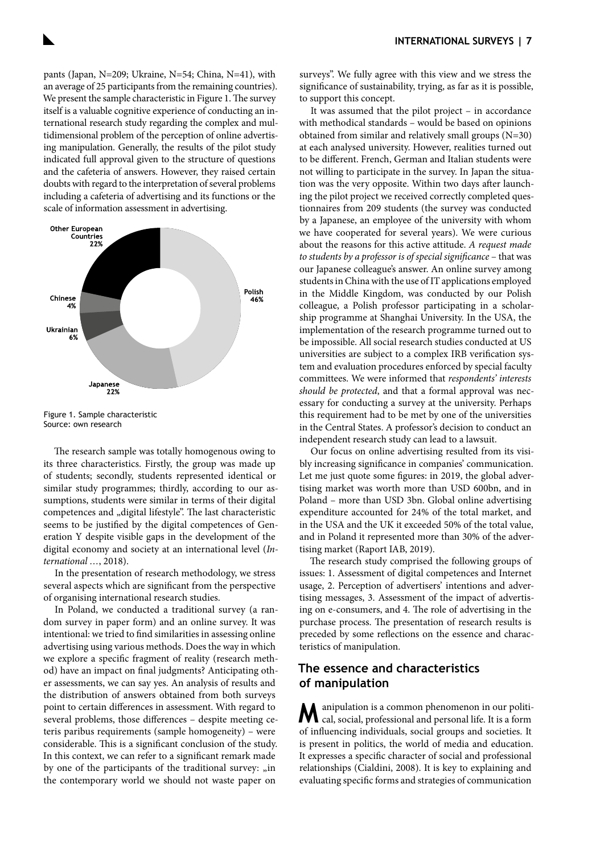pants (Japan, N=209; Ukraine, N=54; China, N=41), with an average of 25 participants from the remaining countries). We present the sample characteristic in Figure 1. The survey itself is a valuable cognitive experience of conducting an international research study regarding the complex and multidimensional problem of the perception of online advertising manipulation. Generally, the results of the pilot study indicated full approval given to the structure of questions and the cafeteria of answers. However, they raised certain doubts with regard to the interpretation of several problems including a cafeteria of advertising and its functions or the scale of information assessment in advertising.



Figure 1. Sample characteristic Source: own research

The research sample was totally homogenous owing to its three characteristics. Firstly, the group was made up of students; secondly, students represented identical or similar study programmes; thirdly, according to our assumptions, students were similar in terms of their digital competences and "digital lifestyle". The last characteristic seems to be justified by the digital competences of Generation Y despite visible gaps in the development of the digital economy and society at an international level (*[In](#page-6-0)[ternational …](#page-6-0)*, 2018).

In the presentation of research methodology, we stress several aspects which are significant from the perspective of organising international research studies.

In Poland, we conducted a traditional survey (a random survey in paper form) and an online survey. It was intentional: we tried to find similarities in assessing online advertising using various methods. Does the way in which we explore a specific fragment of reality (research method) have an impact on final judgments? Anticipating other assessments, we can say yes. An analysis of results and the distribution of answers obtained from both surveys point to certain differences in assessment. With regard to several problems, those differences – despite meeting ceteris paribus requirements (sample homogeneity) – were considerable. This is a significant conclusion of the study. In this context, we can refer to a significant remark made by one of the participants of the traditional survey:  $\sin$ the contemporary world we should not waste paper on

surveys". We fully agree with this view and we stress the significance of sustainability, trying, as far as it is possible, to support this concept.

It was assumed that the pilot project – in accordance with methodical standards – would be based on opinions obtained from similar and relatively small groups  $(N=30)$ at each analysed university. However, realities turned out to be different. French, German and Italian students were not willing to participate in the survey. In Japan the situation was the very opposite. Within two days after launching the pilot project we received correctly completed questionnaires from 209 students (the survey was conducted by a Japanese, an employee of the university with whom we have cooperated for several years). We were curious about the reasons for this active attitude. *A request made to students by a professor is of special significance* – that was our Japanese colleague's answer. An online survey among students in China with the use of IT applications employed in the Middle Kingdom, was conducted by our Polish colleague, a Polish professor participating in a scholarship programme at Shanghai University. In the USA, the implementation of the research programme turned out to be impossible. All social research studies conducted at US universities are subject to a complex IRB verification system and evaluation procedures enforced by special faculty committees. We were informed that *respondents' interests should be protected*, and that a formal approval was necessary for conducting a survey at the university. Perhaps this requirement had to be met by one of the universities in the Central States. A professor's decision to conduct an independent research study can lead to a lawsuit.

Our focus on online advertising resulted from its visibly increasing significance in companies' communication. Let me just quote some figures: in 2019, the global advertising market was worth more than USD 600bn, and in Poland – more than USD 3bn. Global online advertising expenditure accounted for 24% of the total market, and in the USA and the UK it exceeded 50% of the total value, and in Poland it represented more than 30% of the advertising market [\(Raport IAB, 2019\).](#page-6-0)

The research study comprised the following groups of issues: 1. Assessment of digital competences and Internet usage, 2. Perception of advertisers' intentions and advertising messages, 3. Assessment of the impact of advertising on e-consumers, and 4. The role of advertising in the purchase process. The presentation of research results is preceded by some reflections on the essence and characteristics of manipulation.

## **The essence and characteristics of manipulation**

**M**anipulation is a common phenomenon in our politi-cal, social, professional and personal life. It is a form of influencing individuals, social groups and societies. It is present in politics, the world of media and education. It expresses a specific character of social and professional relationships [\(Cialdini, 2008\).](#page-6-0) It is key to explaining and evaluating specific forms and strategies of communication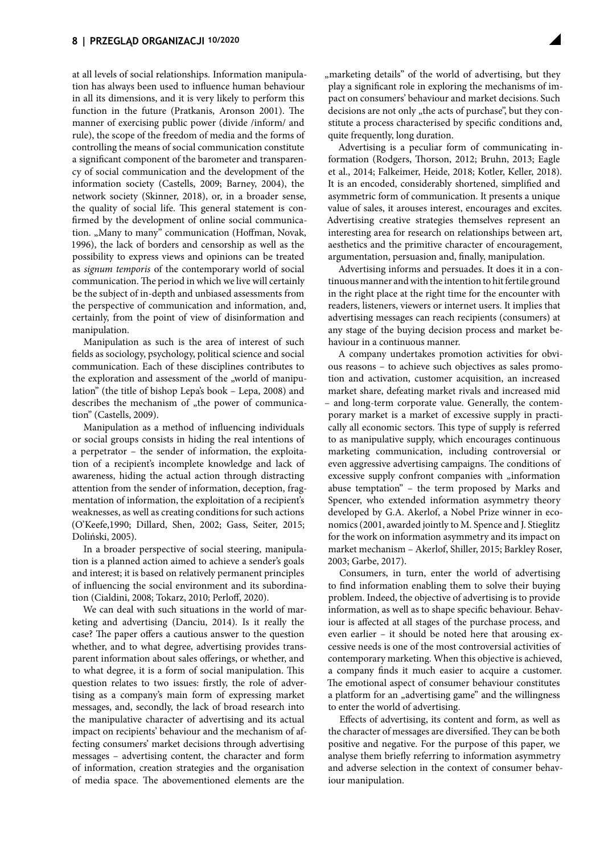at all levels of social relationships. Information manipulation has always been used to influence human behaviour in all its dimensions, and it is very likely to perform this function in the future [\(Pratkanis, Aronson 2001\)](#page-6-0). The manner of exercising public power (divide /inform/ and rule), the scope of the freedom of media and the forms of controlling the means of social communication constitute a significant component of the barometer and transparency of social communication and the development of the information society [\(Castells, 2009; Barney, 2004\)](#page-6-0), the network society [\(Skinner, 2018\),](#page-6-0) or, in a broader sense, the quality of social life. This general statement is confirmed by the development of online social communication. "Many to many" communication (Hoffman, Novak, [1996\),](#page-6-0) the lack of borders and censorship as well as the possibility to express views and opinions can be treated as *signum temporis* of the contemporary world of social communication. The period in which we live will certainly be the subject of in-depth and unbiased assessments from the perspective of communication and information, and, certainly, from the point of view of disinformation and manipulation.

Manipulation as such is the area of interest of such fields as sociology, psychology, political science and social communication. Each of these disciplines contributes to the exploration and assessment of the "world of manipulation" [\(the title of bishop Lepa's book – Lepa, 2008\)](#page-6-0) and describes the mechanism of "the power of communication" [\(Castells, 2009\)](#page-6-0).

Manipulation as a method of influencing individuals or social groups consists in hiding the real intentions of a perpetrator – the sender of information, the exploitation of a recipient's incomplete knowledge and lack of awareness, hiding the actual action through distracting attention from the sender of information, deception, fragmentation of information, the exploitation of a recipient's weaknesses, as well as creating conditions for such actions [\(O'Keefe,1990; Dillard, Shen, 2002; Gass, Seiter, 2015;](#page-6-0) [Doliński, 2005\).](#page-6-0)

In a broader perspective of social steering, manipulation is a planned action aimed to achieve a sender's goals and interest; it is based on relatively permanent principles of influencing the social environment and its subordination [\(Cialdini, 2008; Tokarz, 2010; Perloff, 2020\)](#page-6-0).

We can deal with such situations in the world of marketing and advertising [\(Danciu, 2014\).](#page-6-0) Is it really the case? The paper offers a cautious answer to the question whether, and to what degree, advertising provides transparent information about sales offerings, or whether, and to what degree, it is a form of social manipulation. This question relates to two issues: firstly, the role of advertising as a company's main form of expressing market messages, and, secondly, the lack of broad research into the manipulative character of advertising and its actual impact on recipients' behaviour and the mechanism of affecting consumers' market decisions through advertising messages – advertising content, the character and form of information, creation strategies and the organisation of media space. The abovementioned elements are the

"marketing details" of the world of advertising, but they play a significant role in exploring the mechanisms of impact on consumers' behaviour and market decisions. Such decisions are not only "the acts of purchase", but they constitute a process characterised by specific conditions and, quite frequently, long duration.

Advertising is a peculiar form of communicating information [\(Rodgers, Thorson, 2012; Bruhn, 2013; Eagle](#page-6-0)  [et al., 2014; Falkeimer, Heide, 2018; Kotler, Keller, 2018\).](#page-6-0) It is an encoded, considerably shortened, simplified and asymmetric form of communication. It presents a unique value of sales, it arouses interest, encourages and excites. Advertising creative strategies themselves represent an interesting area for research on relationships between art, aesthetics and the primitive character of encouragement, argumentation, persuasion and, finally, manipulation.

Advertising informs and persuades. It does it in a continuous manner and with the intention to hit fertile ground in the right place at the right time for the encounter with readers, listeners, viewers or internet users. It implies that advertising messages can reach recipients (consumers) at any stage of the buying decision process and market behaviour in a continuous manner.

A company undertakes promotion activities for obvious reasons – to achieve such objectives as sales promotion and activation, customer acquisition, an increased market share, defeating market rivals and increased mid – and long-term corporate value. Generally, the contemporary market is a market of excessive supply in practically all economic sectors. This type of supply is referred to as manipulative supply, which encourages continuous marketing communication, including controversial or even aggressive advertising campaigns. The conditions of excessive supply confront companies with "information abuse temptation" – the term proposed by Marks and Spencer, who extended information asymmetry theory developed by G.A. Akerlof, a Nobel Prize winner in economics [\(2001, awarded jointly to M. Spence and J. Stieglitz](#page-6-0)  [for the work on information asymmetry and its impact on](#page-6-0)  [market mechanism – Akerlof, Shiller, 2015; Barkley Roser,](#page-6-0) [2003; Garbe, 2017\).](#page-6-0)

Consumers, in turn, enter the world of advertising to find information enabling them to solve their buying problem. Indeed, the objective of advertising is to provide information, as well as to shape specific behaviour. Behaviour is affected at all stages of the purchase process, and even earlier – it should be noted here that arousing excessive needs is one of the most controversial activities of contemporary marketing. When this objective is achieved, a company finds it much easier to acquire a customer. The emotional aspect of consumer behaviour constitutes a platform for an "advertising game" and the willingness to enter the world of advertising.

Effects of advertising, its content and form, as well as the character of messages are diversified. They can be both positive and negative. For the purpose of this paper, we analyse them briefly referring to information asymmetry and adverse selection in the context of consumer behaviour manipulation.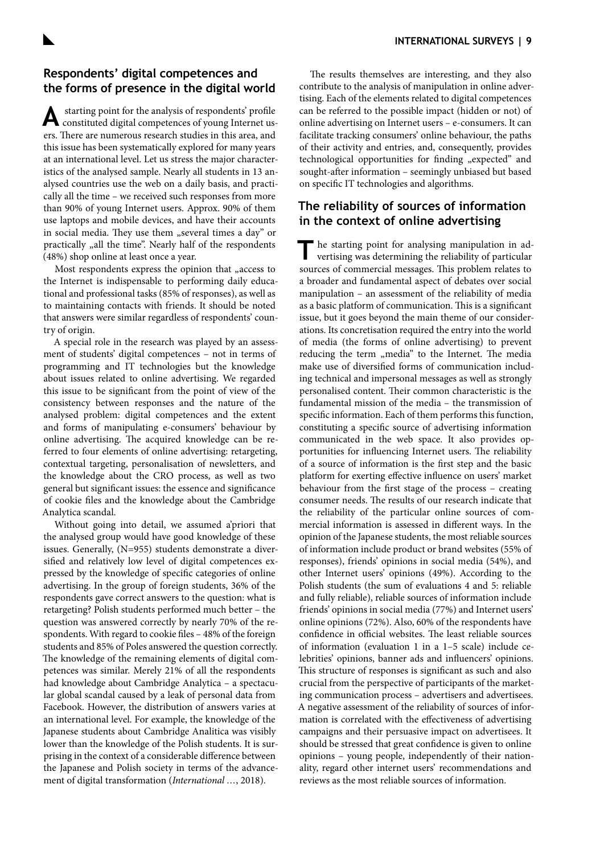## **Respondents' digital competences and the forms of presence in the digital world**

A starting point for the analysis of respondents' profile constituted digital competences of young Internet users. There are numerous research studies in this area, and this issue has been systematically explored for many years at an international level. Let us stress the major characteristics of the analysed sample. Nearly all students in 13 analysed countries use the web on a daily basis, and practically all the time – we received such responses from more than 90% of young Internet users. Approx. 90% of them use laptops and mobile devices, and have their accounts in social media. They use them "several times a day" or practically "all the time". Nearly half of the respondents (48%) shop online at least once a year.

Most respondents express the opinion that "access to the Internet is indispensable to performing daily educational and professional tasks (85% of responses), as well as to maintaining contacts with friends. It should be noted that answers were similar regardless of respondents' country of origin.

A special role in the research was played by an assessment of students' digital competences – not in terms of programming and IT technologies but the knowledge about issues related to online advertising. We regarded this issue to be significant from the point of view of the consistency between responses and the nature of the analysed problem: digital competences and the extent and forms of manipulating e-consumers' behaviour by online advertising. The acquired knowledge can be referred to four elements of online advertising: retargeting, contextual targeting, personalisation of newsletters, and the knowledge about the CRO process, as well as two general but significant issues: the essence and significance of cookie files and the knowledge about the Cambridge Analytica scandal.

Without going into detail, we assumed a'priori that the analysed group would have good knowledge of these issues. Generally, (N=955) students demonstrate a diversified and relatively low level of digital competences expressed by the knowledge of specific categories of online advertising. In the group of foreign students, 36% of the respondents gave correct answers to the question: what is retargeting? Polish students performed much better – the question was answered correctly by nearly 70% of the respondents. With regard to cookie files – 48% of the foreign students and 85% of Poles answered the question correctly. The knowledge of the remaining elements of digital competences was similar. Merely 21% of all the respondents had knowledge about Cambridge Analytica – a spectacular global scandal caused by a leak of personal data from Facebook. However, the distribution of answers varies at an international level. For example, the knowledge of the Japanese students about Cambridge Analitica was visibly lower than the knowledge of the Polish students. It is surprising in the context of a considerable difference between the Japanese and Polish society in terms of the advancement of digital transformation (*[International …](#page-6-0)*, 2018).

The results themselves are interesting, and they also contribute to the analysis of manipulation in online advertising. Each of the elements related to digital competences can be referred to the possible impact (hidden or not) of online advertising on Internet users – e-consumers. It can facilitate tracking consumers' online behaviour, the paths of their activity and entries, and, consequently, provides technological opportunities for finding "expected" and sought-after information – seemingly unbiased but based on specific IT technologies and algorithms.

## **The reliability of sources of information in the context of online advertising**

The starting point for analysing manipulation in advertising was determining the reliability of particular sources of commercial messages. This problem relates to a broader and fundamental aspect of debates over social manipulation – an assessment of the reliability of media as a basic platform of communication. This is a significant issue, but it goes beyond the main theme of our considerations. Its concretisation required the entry into the world of media (the forms of online advertising) to prevent reducing the term "media" to the Internet. The media make use of diversified forms of communication including technical and impersonal messages as well as strongly personalised content. Their common characteristic is the fundamental mission of the media – the transmission of specific information. Each of them performs this function, constituting a specific source of advertising information communicated in the web space. It also provides opportunities for influencing Internet users. The reliability of a source of information is the first step and the basic platform for exerting effective influence on users' market behaviour from the first stage of the process – creating consumer needs. The results of our research indicate that the reliability of the particular online sources of commercial information is assessed in different ways. In the opinion of the Japanese students, the most reliable sources of information include product or brand websites (55% of responses), friends' opinions in social media (54%), and other Internet users' opinions (49%). According to the Polish students (the sum of evaluations 4 and 5: reliable and fully reliable), reliable sources of information include friends' opinions in social media (77%) and Internet users' online opinions (72%). Also, 60% of the respondents have confidence in official websites. The least reliable sources of information (evaluation 1 in a 1–5 scale) include celebrities' opinions, banner ads and influencers' opinions. This structure of responses is significant as such and also crucial from the perspective of participants of the marketing communication process – advertisers and advertisees. A negative assessment of the reliability of sources of information is correlated with the effectiveness of advertising campaigns and their persuasive impact on advertisees. It should be stressed that great confidence is given to online opinions – young people, independently of their nationality, regard other internet users' recommendations and reviews as the most reliable sources of information.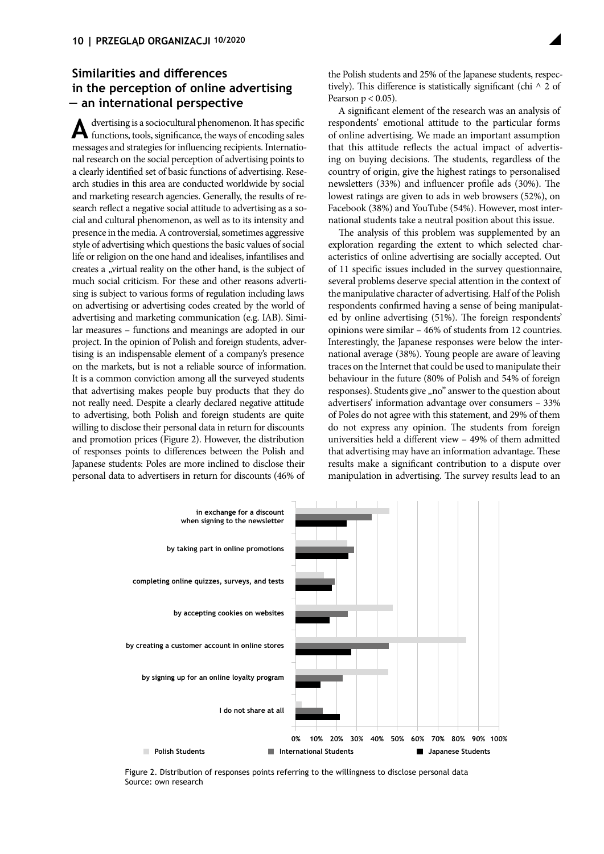# **Similarities and differences in the perception of online advertising — an international perspective**

**A**dvertising is a sociocultural phenomenon. It has specific functions, tools, significance, the ways of encoding sales messages and strategies for influencing recipients. International research on the social perception of advertising points to a clearly identified set of basic functions of advertising. Research studies in this area are conducted worldwide by social and marketing research agencies. Generally, the results of research reflect a negative social attitude to advertising as a social and cultural phenomenon, as well as to its intensity and presence in the media. A controversial, sometimes aggressive style of advertising which questions the basic values of social life or religion on the one hand and idealises, infantilises and creates a "virtual reality on the other hand, is the subject of much social criticism. For these and other reasons advertising is subject to various forms of regulation including laws on advertising or advertising codes created by the world of advertising and marketing communication (e.g. IAB). Similar measures – functions and meanings are adopted in our project. In the opinion of Polish and foreign students, advertising is an indispensable element of a company's presence on the markets, but is not a reliable source of information. It is a common conviction among all the surveyed students that advertising makes people buy products that they do not really need. Despite a clearly declared negative attitude to advertising, both Polish and foreign students are quite willing to disclose their personal data in return for discounts and promotion prices (Figure 2). However, the distribution of responses points to differences between the Polish and Japanese students: Poles are more inclined to disclose their personal data to advertisers in return for discounts (46% of

the Polish students and 25% of the Japanese students, respectively). This difference is statistically significant (chi  $\wedge$  2 of Pearson  $p < 0.05$ ).

A significant element of the research was an analysis of respondents' emotional attitude to the particular forms of online advertising. We made an important assumption that this attitude reflects the actual impact of advertising on buying decisions. The students, regardless of the country of origin, give the highest ratings to personalised newsletters (33%) and influencer profile ads (30%). The lowest ratings are given to ads in web browsers (52%), on Facebook (38%) and YouTube (54%). However, most international students take a neutral position about this issue.

The analysis of this problem was supplemented by an exploration regarding the extent to which selected characteristics of online advertising are socially accepted. Out of 11 specific issues included in the survey questionnaire, several problems deserve special attention in the context of the manipulative character of advertising. Half of the Polish respondents confirmed having a sense of being manipulated by online advertising (51%). The foreign respondents' opinions were similar – 46% of students from 12 countries. Interestingly, the Japanese responses were below the international average (38%). Young people are aware of leaving traces on the Internet that could be used to manipulate their behaviour in the future (80% of Polish and 54% of foreign responses). Students give "no" answer to the question about advertisers' information advantage over consumers – 33% of Poles do not agree with this statement, and 29% of them do not express any opinion. The students from foreign universities held a different view – 49% of them admitted that advertising may have an information advantage. These results make a significant contribution to a dispute over manipulation in advertising. The survey results lead to an



Figure 2. Distribution of responses points referring to the willingness to disclose personal data Source: own research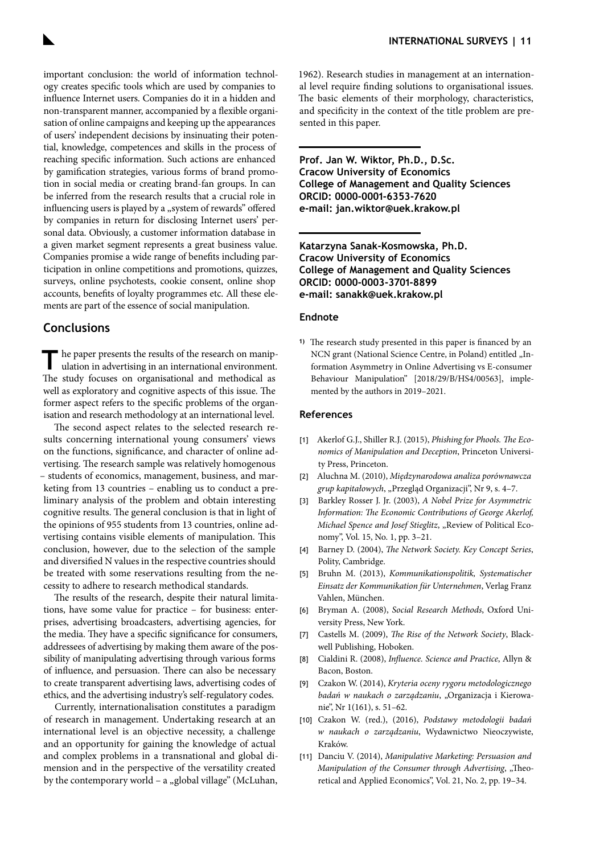<span id="page-6-0"></span>important conclusion: the world of information technology creates specific tools which are used by companies to influence Internet users. Companies do it in a hidden and non-transparent manner, accompanied by a flexible organisation of online campaigns and keeping up the appearances of users' independent decisions by insinuating their potential, knowledge, competences and skills in the process of reaching specific information. Such actions are enhanced by gamification strategies, various forms of brand promotion in social media or creating brand-fan groups. In can be inferred from the research results that a crucial role in influencing users is played by a "system of rewards" offered by companies in return for disclosing Internet users' personal data. Obviously, a customer information database in a given market segment represents a great business value. Companies promise a wide range of benefits including participation in online competitions and promotions, quizzes, surveys, online psychotests, cookie consent, online shop accounts, benefits of loyalty programmes etc. All these elements are part of the essence of social manipulation.

## **Conclusions**

The paper presents the results of the research on manip-<br>ulation in advertising in an international environment. The study focuses on organisational and methodical as well as exploratory and cognitive aspects of this issue. The former aspect refers to the specific problems of the organisation and research methodology at an international level.

The second aspect relates to the selected research results concerning international young consumers' views on the functions, significance, and character of online advertising. The research sample was relatively homogenous – students of economics, management, business, and marketing from 13 countries – enabling us to conduct a preliminary analysis of the problem and obtain interesting cognitive results. The general conclusion is that in light of the opinions of 955 students from 13 countries, online advertising contains visible elements of manipulation. This conclusion, however, due to the selection of the sample and diversified N values in the respective countries should be treated with some reservations resulting from the necessity to adhere to research methodical standards.

The results of the research, despite their natural limitations, have some value for practice – for business: enterprises, advertising broadcasters, advertising agencies, for the media. They have a specific significance for consumers, addressees of advertising by making them aware of the possibility of manipulating advertising through various forms of influence, and persuasion. There can also be necessary to create transparent advertising laws, advertising codes of ethics, and the advertising industry's self-regulatory codes.

Currently, internationalisation constitutes a paradigm of research in management. Undertaking research at an international level is an objective necessity, a challenge and an opportunity for gaining the knowledge of actual and complex problems in a transnational and global dimension and in the perspective of the versatility created by the contemporary world - a "global village" (McLuhan,

1962). Research studies in management at an international level require finding solutions to organisational issues. The basic elements of their morphology, characteristics, and specificity in the context of the title problem are presented in this paper.

**Prof. Jan W. Wiktor, Ph.D., D.Sc. Cracow University of Economics College of Management and Quality Sciences ORCID: 0000-0001-6353-7620 e-mail: [jan.wiktor@uek.krakow.pl](mailto:jan.wiktor%40uek.krakow.pl?subject=)**

**Katarzyna Sanak-Kosmowska, Ph.D. Cracow University of Economics College of Management and Quality Sciences ORCID: 0000-0003-3701-8899 e-mail: [sanakk@uek.krakow.pl](mailto:sanakk%40uek.krakow.pl?subject=)**

#### **Endnote**

**1)** The research study presented in this paper is financed by an NCN grant (National Science Centre, in Poland) entitled "Information Asymmetry in Online Advertising vs E-consumer Behaviour Manipulation" [2018/29/B/HS4/00563], implemented by the authors in 2019–2021.

#### **References**

- [1] Akerlof G.J., Shiller R.J. (2015), *Phishing for Phools. The Economics of Manipulation and Deception*, Princeton University Press, Princeton.
- [2] Aluchna M. (2010), *Międzynarodowa analiza porównawcza grup kapitałowych*, "Przegląd Organizacji", Nr 9, s. 4–7.
- [3] Barkley Rosser J. Jr. (2003), *A Nobel Prize for Asymmetric Information: The Economic Contributions of George Akerlof, Michael Spence and Josef Stieglitz*, "Review of Political Economy", Vol. 15, No. 1, pp. 3–21.
- [4] Barney D. (2004), *The Network Society. Key Concept Series*, Polity, Cambridge.
- [5] Bruhn M. (2013), *Kommunikationspolitik, Systematischer Einsatz der Kommunikation für Unternehmen*, Verlag Franz Vahlen, München.
- [6] Bryman A. (2008), *Social Research Methods*, Oxford University Press, New York.
- [7] Castells M. (2009), *The Rise of the Network Society*, Blackwell Publishing, Hoboken.
- [8] Cialdini R. (2008), *Influence. Science and Practice*, Allyn & Bacon, Boston.
- [9] Czakon W. (2014), *Kryteria oceny rygoru metodologicznego badań w naukach o zarządzaniu*, "Organizacja i Kierowanie", Nr 1(161), s. 51–62.
- [10] Czakon W. (red.), (2016), *Podstawy metodologii badań w naukach o zarządzaniu*, Wydawnictwo Nieoczywiste, Kraków.
- [11] Danciu V. (2014), *Manipulative Marketing: Persuasion and Manipulation of the Consumer through Advertising*, "Theoretical and Applied Economics", Vol. 21, No. 2, pp. 19–34.